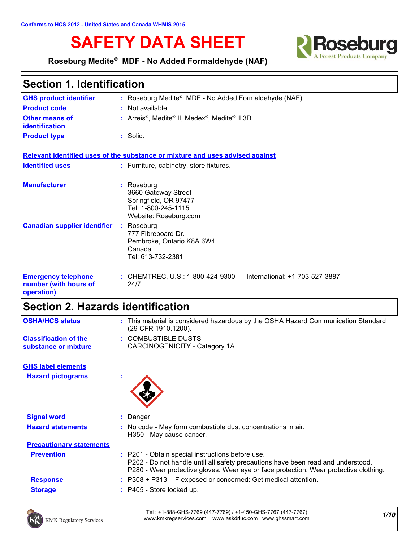# **SAFETY DATA SHEET Refrage Refragement**



**Roseburg Medite® MDF - No Added Formaldehyde (NAF)**

| <b>Section 1. Identification</b>                                  |                                                                                                            |  |  |
|-------------------------------------------------------------------|------------------------------------------------------------------------------------------------------------|--|--|
| <b>GHS product identifier</b>                                     | : Roseburg Medite® MDF - No Added Formaldehyde (NAF)                                                       |  |  |
| <b>Product code</b>                                               | : Not available.                                                                                           |  |  |
| <b>Other means of</b><br>identification                           | : Arreis <sup>®</sup> , Medite <sup>®</sup> II, Medex <sup>®</sup> , Medite <sup>®</sup> II 3D             |  |  |
| <b>Product type</b>                                               | $:$ Solid.                                                                                                 |  |  |
|                                                                   | Relevant identified uses of the substance or mixture and uses advised against                              |  |  |
| <b>Identified uses</b>                                            | : Furniture, cabinetry, store fixtures.                                                                    |  |  |
| <b>Manufacturer</b>                                               | : Roseburg<br>3660 Gateway Street<br>Springfield, OR 97477<br>Tel: 1-800-245-1115<br>Website: Roseburg.com |  |  |
| <b>Canadian supplier identifier</b>                               | : Roseburg<br>777 Fibreboard Dr.<br>Pembroke, Ontario K8A 6W4<br>Canada<br>Tel: 613-732-2381               |  |  |
| <b>Emergency telephone</b><br>number (with hours of<br>operation) | : CHEMTREC, U.S.: 1-800-424-9300<br>International: +1-703-527-3887<br>24/7                                 |  |  |

# **Section 2. Hazards identification**

| <b>OSHA/HCS status</b>                               | : This material is considered hazardous by the OSHA Hazard Communication Standard<br>(29 CFR 1910.1200).                                                                                                                      |
|------------------------------------------------------|-------------------------------------------------------------------------------------------------------------------------------------------------------------------------------------------------------------------------------|
| <b>Classification of the</b><br>substance or mixture | : COMBUSTIBLE DUSTS<br>CARCINOGENICITY - Category 1A                                                                                                                                                                          |
| <b>GHS label elements</b>                            |                                                                                                                                                                                                                               |
| <b>Hazard pictograms</b>                             |                                                                                                                                                                                                                               |
|                                                      |                                                                                                                                                                                                                               |
| <b>Signal word</b>                                   | : Danger                                                                                                                                                                                                                      |
| <b>Hazard statements</b>                             | : No code - May form combustible dust concentrations in air.<br>H350 - May cause cancer.                                                                                                                                      |
| <b>Precautionary statements</b>                      |                                                                                                                                                                                                                               |
| <b>Prevention</b>                                    | : P201 - Obtain special instructions before use.<br>P202 - Do not handle until all safety precautions have been read and understood.<br>P280 - Wear protective gloves. Wear eye or face protection. Wear protective clothing. |
| <b>Response</b>                                      | : P308 + P313 - IF exposed or concerned: Get medical attention.                                                                                                                                                               |
| <b>Storage</b>                                       | $:$ P405 - Store locked up.                                                                                                                                                                                                   |
|                                                      |                                                                                                                                                                                                                               |



*1/10* Tel : +1-888-GHS-7769 (447-7769) / +1-450-GHS-7767 (447-7767) www.kmkregservices.com www.askdrluc.com www.ghssmart.com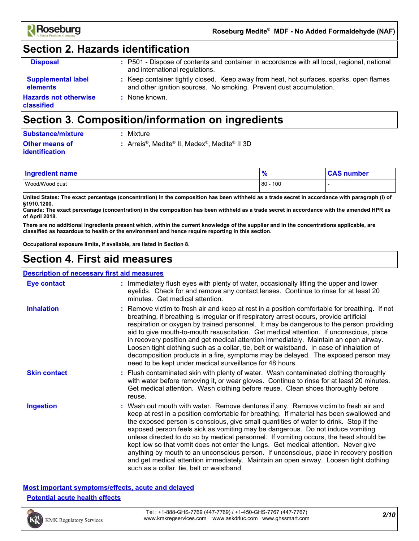

# **Section 2. Hazards identification**

| <b>Disposal</b>                       | : P501 - Dispose of contents and container in accordance with all local, regional, national<br>and international regulations.                                 |
|---------------------------------------|---------------------------------------------------------------------------------------------------------------------------------------------------------------|
| <b>Supplemental label</b><br>elements | : Keep container tightly closed. Keep away from heat, hot surfaces, sparks, open flames<br>and other ignition sources. No smoking. Prevent dust accumulation. |
| Hazards not otherwise<br>classified   | : None known.                                                                                                                                                 |

### **Section 3. Composition/information on ingredients**

| <b>Substance/mixture</b> | : Mixture                                                          |
|--------------------------|--------------------------------------------------------------------|
| <b>Other means of</b>    | : Arreis <sup>®</sup> , Medite <sup>®</sup> II, Medex <sup>®</sup> |
| <b>identification</b>    |                                                                    |

**:** Arreis®, Medite® II, Medex®, Medite® II 3D

| <b>Ingredient name</b> | $\bullet$     | ⊧number |  |
|------------------------|---------------|---------|--|
| Wood/Wood dust         | 100<br>$80 -$ |         |  |

**United States: The exact percentage (concentration) in the composition has been withheld as a trade secret in accordance with paragraph (i) of §1910.1200.**

**Canada: The exact percentage (concentration) in the composition has been withheld as a trade secret in accordance with the amended HPR as of April 2018.**

**There are no additional ingredients present which, within the current knowledge of the supplier and in the concentrations applicable, are classified as hazardous to health or the environment and hence require reporting in this section.**

**Occupational exposure limits, if available, are listed in Section 8.**

### **Section 4. First aid measures**

|                     | Description of necessary first aid measures                                                                                                                                                                                                                                                                                                                                                                                                                                                                                                                                                                                                                                                                                                                               |
|---------------------|---------------------------------------------------------------------------------------------------------------------------------------------------------------------------------------------------------------------------------------------------------------------------------------------------------------------------------------------------------------------------------------------------------------------------------------------------------------------------------------------------------------------------------------------------------------------------------------------------------------------------------------------------------------------------------------------------------------------------------------------------------------------------|
| Eye contact         | : Immediately flush eyes with plenty of water, occasionally lifting the upper and lower<br>eyelids. Check for and remove any contact lenses. Continue to rinse for at least 20<br>minutes. Get medical attention.                                                                                                                                                                                                                                                                                                                                                                                                                                                                                                                                                         |
| <b>Inhalation</b>   | : Remove victim to fresh air and keep at rest in a position comfortable for breathing. If not<br>breathing, if breathing is irregular or if respiratory arrest occurs, provide artificial<br>respiration or oxygen by trained personnel. It may be dangerous to the person providing<br>aid to give mouth-to-mouth resuscitation. Get medical attention. If unconscious, place<br>in recovery position and get medical attention immediately. Maintain an open airway.<br>Loosen tight clothing such as a collar, tie, belt or waistband. In case of inhalation of<br>decomposition products in a fire, symptoms may be delayed. The exposed person may<br>need to be kept under medical surveillance for 48 hours.                                                       |
| <b>Skin contact</b> | : Flush contaminated skin with plenty of water. Wash contaminated clothing thoroughly<br>with water before removing it, or wear gloves. Continue to rinse for at least 20 minutes.<br>Get medical attention. Wash clothing before reuse. Clean shoes thoroughly before<br>reuse.                                                                                                                                                                                                                                                                                                                                                                                                                                                                                          |
| <b>Ingestion</b>    | : Wash out mouth with water. Remove dentures if any. Remove victim to fresh air and<br>keep at rest in a position comfortable for breathing. If material has been swallowed and<br>the exposed person is conscious, give small quantities of water to drink. Stop if the<br>exposed person feels sick as vomiting may be dangerous. Do not induce vomiting<br>unless directed to do so by medical personnel. If vomiting occurs, the head should be<br>kept low so that vomit does not enter the lungs. Get medical attention. Never give<br>anything by mouth to an unconscious person. If unconscious, place in recovery position<br>and get medical attention immediately. Maintain an open airway. Loosen tight clothing<br>such as a collar, tie, belt or waistband. |

### **Most important symptoms/effects, acute and delayed Potential acute health effects**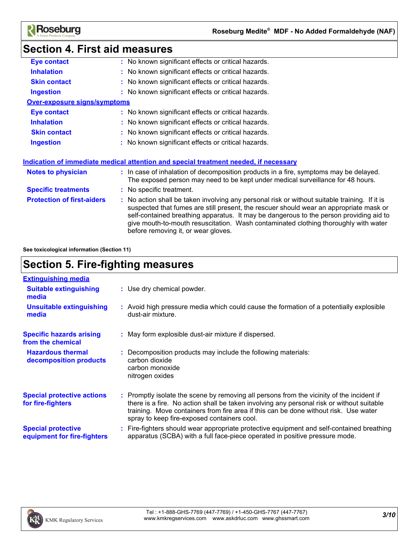

# **Section 4. First aid measures**

| <b>Eye contact</b>                | : No known significant effects or critical hazards.                                                                                                                                                                                                                                                                                                                                                             |
|-----------------------------------|-----------------------------------------------------------------------------------------------------------------------------------------------------------------------------------------------------------------------------------------------------------------------------------------------------------------------------------------------------------------------------------------------------------------|
| <b>Inhalation</b>                 | : No known significant effects or critical hazards.                                                                                                                                                                                                                                                                                                                                                             |
| <b>Skin contact</b>               | : No known significant effects or critical hazards.                                                                                                                                                                                                                                                                                                                                                             |
| <b>Ingestion</b>                  | : No known significant effects or critical hazards.                                                                                                                                                                                                                                                                                                                                                             |
| Over-exposure signs/symptoms      |                                                                                                                                                                                                                                                                                                                                                                                                                 |
| <b>Eye contact</b>                | : No known significant effects or critical hazards.                                                                                                                                                                                                                                                                                                                                                             |
| <b>Inhalation</b>                 | : No known significant effects or critical hazards.                                                                                                                                                                                                                                                                                                                                                             |
| <b>Skin contact</b>               | : No known significant effects or critical hazards.                                                                                                                                                                                                                                                                                                                                                             |
| <b>Ingestion</b>                  | : No known significant effects or critical hazards.                                                                                                                                                                                                                                                                                                                                                             |
| Notes to physician                | <u>Indication of immediate medical attention and special treatment needed, if necessary</u><br>: In case of inhalation of decomposition products in a fire, symptoms may be delayed.<br>The exposed person may need to be kept under medical surveillance for 48 hours.                                                                                                                                         |
| <b>Specific treatments</b>        | : No specific treatment.                                                                                                                                                                                                                                                                                                                                                                                        |
| <b>Protection of first-aiders</b> | : No action shall be taken involving any personal risk or without suitable training. If it is<br>suspected that fumes are still present, the rescuer should wear an appropriate mask or<br>self-contained breathing apparatus. It may be dangerous to the person providing aid to<br>give mouth-to-mouth resuscitation. Wash contaminated clothing thoroughly with water<br>before removing it, or wear gloves. |
|                                   |                                                                                                                                                                                                                                                                                                                                                                                                                 |

**See toxicological information (Section 11)**

### **Section 5. Fire-fighting measures**

| <b>Extinguishing media</b>                               |                                                                                                                                                                                                                                                                                                                               |
|----------------------------------------------------------|-------------------------------------------------------------------------------------------------------------------------------------------------------------------------------------------------------------------------------------------------------------------------------------------------------------------------------|
| <b>Suitable extinguishing</b><br>media                   | : Use dry chemical powder.                                                                                                                                                                                                                                                                                                    |
| <b>Unsuitable extinguishing</b><br>media                 | : Avoid high pressure media which could cause the formation of a potentially explosible<br>dust-air mixture.                                                                                                                                                                                                                  |
| <b>Specific hazards arising</b><br>from the chemical     | : May form explosible dust-air mixture if dispersed.                                                                                                                                                                                                                                                                          |
| <b>Hazardous thermal</b><br>decomposition products       | : Decomposition products may include the following materials:<br>carbon dioxide<br>carbon monoxide<br>nitrogen oxides                                                                                                                                                                                                         |
| <b>Special protective actions</b><br>for fire-fighters   | : Promptly isolate the scene by removing all persons from the vicinity of the incident if<br>there is a fire. No action shall be taken involving any personal risk or without suitable<br>training. Move containers from fire area if this can be done without risk. Use water<br>spray to keep fire-exposed containers cool. |
| <b>Special protective</b><br>equipment for fire-fighters | : Fire-fighters should wear appropriate protective equipment and self-contained breathing<br>apparatus (SCBA) with a full face-piece operated in positive pressure mode.                                                                                                                                                      |

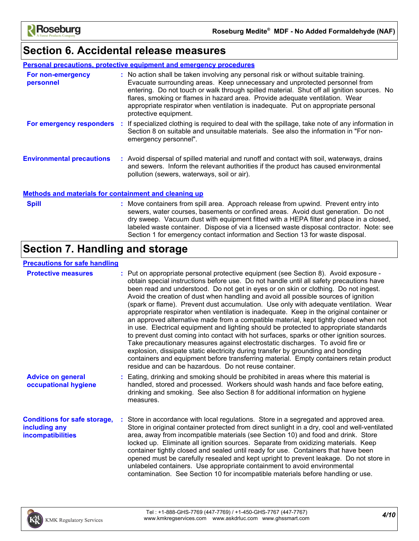

### **Section 6. Accidental release measures**

#### **Personal precautions, protective equipment and emergency procedures**

| For non-emergency<br>personnel   |     | : No action shall be taken involving any personal risk or without suitable training.<br>Evacuate surrounding areas. Keep unnecessary and unprotected personnel from<br>entering. Do not touch or walk through spilled material. Shut off all ignition sources. No<br>flares, smoking or flames in hazard area. Provide adequate ventilation. Wear<br>appropriate respirator when ventilation is inadequate. Put on appropriate personal<br>protective equipment. |
|----------------------------------|-----|------------------------------------------------------------------------------------------------------------------------------------------------------------------------------------------------------------------------------------------------------------------------------------------------------------------------------------------------------------------------------------------------------------------------------------------------------------------|
| For emergency responders         | -11 | If specialized clothing is required to deal with the spillage, take note of any information in<br>Section 8 on suitable and unsuitable materials. See also the information in "For non-<br>emergency personnel".                                                                                                                                                                                                                                                 |
| <b>Environmental precautions</b> |     | : Avoid dispersal of spilled material and runoff and contact with soil, waterways, drains<br>and sewers. Inform the relevant authorities if the product has caused environmental<br>pollution (sewers, waterways, soil or air).                                                                                                                                                                                                                                  |

### **Methods and materials for containment and cleaning up**

| ×<br>٦ |  |
|--------|--|

Move containers from spill area. Approach release from upwind. Prevent entry into **Spill :** sewers, water courses, basements or confined areas. Avoid dust generation. Do not dry sweep. Vacuum dust with equipment fitted with a HEPA filter and place in a closed, labeled waste container. Dispose of via a licensed waste disposal contractor. Note: see Section 1 for emergency contact information and Section 13 for waste disposal.

### **Section 7. Handling and storage**

### **Precautions for safe handling**

| <b>Protective measures</b>                                                       | : Put on appropriate personal protective equipment (see Section 8). Avoid exposure -<br>obtain special instructions before use. Do not handle until all safety precautions have<br>been read and understood. Do not get in eyes or on skin or clothing. Do not ingest.<br>Avoid the creation of dust when handling and avoid all possible sources of ignition<br>(spark or flame).  Prevent dust accumulation.  Use only with adequate ventilation.  Wear<br>appropriate respirator when ventilation is inadequate. Keep in the original container or<br>an approved alternative made from a compatible material, kept tightly closed when not<br>in use. Electrical equipment and lighting should be protected to appropriate standards<br>to prevent dust coming into contact with hot surfaces, sparks or other ignition sources.<br>Take precautionary measures against electrostatic discharges. To avoid fire or<br>explosion, dissipate static electricity during transfer by grounding and bonding<br>containers and equipment before transferring material. Empty containers retain product<br>residue and can be hazardous. Do not reuse container. |
|----------------------------------------------------------------------------------|---------------------------------------------------------------------------------------------------------------------------------------------------------------------------------------------------------------------------------------------------------------------------------------------------------------------------------------------------------------------------------------------------------------------------------------------------------------------------------------------------------------------------------------------------------------------------------------------------------------------------------------------------------------------------------------------------------------------------------------------------------------------------------------------------------------------------------------------------------------------------------------------------------------------------------------------------------------------------------------------------------------------------------------------------------------------------------------------------------------------------------------------------------------|
| <b>Advice on general</b><br>occupational hygiene                                 | : Eating, drinking and smoking should be prohibited in areas where this material is<br>handled, stored and processed. Workers should wash hands and face before eating,<br>drinking and smoking. See also Section 8 for additional information on hygiene<br>measures.                                                                                                                                                                                                                                                                                                                                                                                                                                                                                                                                                                                                                                                                                                                                                                                                                                                                                        |
| <b>Conditions for safe storage,</b><br>including any<br><b>incompatibilities</b> | : Store in accordance with local regulations. Store in a segregated and approved area.<br>Store in original container protected from direct sunlight in a dry, cool and well-ventilated<br>area, away from incompatible materials (see Section 10) and food and drink. Store<br>locked up. Eliminate all ignition sources. Separate from oxidizing materials. Keep<br>container tightly closed and sealed until ready for use. Containers that have been<br>opened must be carefully resealed and kept upright to prevent leakage. Do not store in<br>unlabeled containers. Use appropriate containment to avoid environmental<br>contamination. See Section 10 for incompatible materials before handling or use.                                                                                                                                                                                                                                                                                                                                                                                                                                            |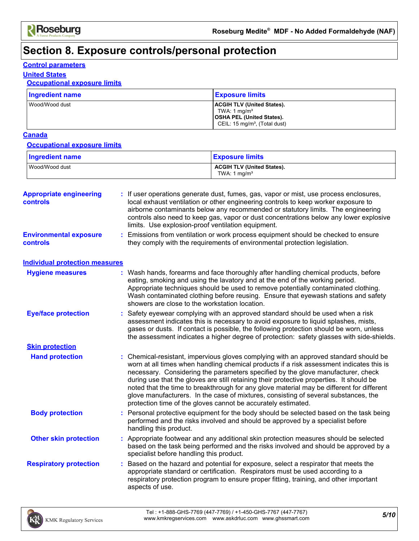# **Section 8. Exposure controls/personal protection**

### **Control parameters**

### **United States**

### **Occupational exposure limits**

| <b>Ingredient name</b> | <b>Exposure limits</b>                                                                                                               |
|------------------------|--------------------------------------------------------------------------------------------------------------------------------------|
| Wood/Wood dust         | <b>ACGIH TLV (United States).</b><br>TWA: 1 $mq/m3$<br><b>OSHA PEL (United States).</b><br>CEIL: 15 mg/m <sup>3</sup> , (Total dust) |

### **Canada**

#### **Occupational exposure limits**

| <b>Ingredient name</b> | <b>Exposure limits</b>                              |
|------------------------|-----------------------------------------------------|
| Wood/Wood dust         | <b>ACGIH TLV (United States).</b><br>TWA: 1 $mq/m3$ |

| <b>Appropriate engineering</b><br><b>controls</b> | If user operations generate dust, fumes, gas, vapor or mist, use process enclosures,<br>local exhaust ventilation or other engineering controls to keep worker exposure to<br>airborne contaminants below any recommended or statutory limits. The engineering<br>controls also need to keep gas, vapor or dust concentrations below any lower explosive<br>limits. Use explosion-proof ventilation equipment.                                                                                                                                                                                                         |
|---------------------------------------------------|------------------------------------------------------------------------------------------------------------------------------------------------------------------------------------------------------------------------------------------------------------------------------------------------------------------------------------------------------------------------------------------------------------------------------------------------------------------------------------------------------------------------------------------------------------------------------------------------------------------------|
| <b>Environmental exposure</b><br><b>controls</b>  | Emissions from ventilation or work process equipment should be checked to ensure<br>they comply with the requirements of environmental protection legislation.                                                                                                                                                                                                                                                                                                                                                                                                                                                         |
| <b>Individual protection measures</b>             |                                                                                                                                                                                                                                                                                                                                                                                                                                                                                                                                                                                                                        |
| <b>Hygiene measures</b>                           | : Wash hands, forearms and face thoroughly after handling chemical products, before<br>eating, smoking and using the lavatory and at the end of the working period.<br>Appropriate techniques should be used to remove potentially contaminated clothing.<br>Wash contaminated clothing before reusing. Ensure that eyewash stations and safety<br>showers are close to the workstation location.                                                                                                                                                                                                                      |
| <b>Eye/face protection</b>                        | Safety eyewear complying with an approved standard should be used when a risk<br>assessment indicates this is necessary to avoid exposure to liquid splashes, mists,<br>gases or dusts. If contact is possible, the following protection should be worn, unless<br>the assessment indicates a higher degree of protection: safety glasses with side-shields.                                                                                                                                                                                                                                                           |
| <b>Skin protection</b>                            |                                                                                                                                                                                                                                                                                                                                                                                                                                                                                                                                                                                                                        |
| <b>Hand protection</b>                            | : Chemical-resistant, impervious gloves complying with an approved standard should be<br>worn at all times when handling chemical products if a risk assessment indicates this is<br>necessary. Considering the parameters specified by the glove manufacturer, check<br>during use that the gloves are still retaining their protective properties. It should be<br>noted that the time to breakthrough for any glove material may be different for different<br>glove manufacturers. In the case of mixtures, consisting of several substances, the<br>protection time of the gloves cannot be accurately estimated. |
| <b>Body protection</b>                            | Personal protective equipment for the body should be selected based on the task being<br>performed and the risks involved and should be approved by a specialist before<br>handling this product.                                                                                                                                                                                                                                                                                                                                                                                                                      |
| <b>Other skin protection</b>                      | : Appropriate footwear and any additional skin protection measures should be selected<br>based on the task being performed and the risks involved and should be approved by a<br>specialist before handling this product.                                                                                                                                                                                                                                                                                                                                                                                              |
| <b>Respiratory protection</b>                     | : Based on the hazard and potential for exposure, select a respirator that meets the<br>appropriate standard or certification. Respirators must be used according to a<br>respiratory protection program to ensure proper fitting, training, and other important<br>aspects of use.                                                                                                                                                                                                                                                                                                                                    |
|                                                   |                                                                                                                                                                                                                                                                                                                                                                                                                                                                                                                                                                                                                        |

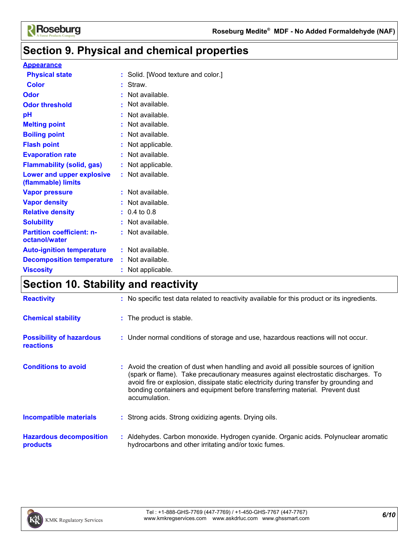

# **Section 9. Physical and chemical properties**

### **Appearance**

| <b>Physical state</b>                             | : Solid. [Wood texture and color.] |
|---------------------------------------------------|------------------------------------|
| <b>Color</b>                                      | : Straw.                           |
| Odor                                              | Not available.                     |
| <b>Odor threshold</b>                             | Not available.                     |
| pH                                                | Not available.                     |
| <b>Melting point</b>                              | Not available.                     |
| <b>Boiling point</b>                              | Not available.                     |
| <b>Flash point</b>                                | : Not applicable.                  |
| <b>Evaporation rate</b>                           | Not available.                     |
| <b>Flammability (solid, gas)</b>                  | Not applicable.                    |
| Lower and upper explosive<br>(flammable) limits   | : Not available.                   |
| <b>Vapor pressure</b>                             | : Not available.                   |
| <b>Vapor density</b>                              | Not available.                     |
| <b>Relative density</b>                           | $: 0.4 \text{ to } 0.8$            |
| <b>Solubility</b>                                 | Not available.                     |
| <b>Partition coefficient: n-</b><br>octanol/water | Not available.                     |
| <b>Auto-ignition temperature</b>                  | : Not available.                   |
| <b>Decomposition temperature</b>                  | : Not available.                   |
| <b>Viscosity</b>                                  | Not applicable.                    |

### **Section 10. Stability and reactivity**

| <b>Reactivity</b>                                   | : No specific test data related to reactivity available for this product or its ingredients.                                                                                                                                                                                                                                                                          |
|-----------------------------------------------------|-----------------------------------------------------------------------------------------------------------------------------------------------------------------------------------------------------------------------------------------------------------------------------------------------------------------------------------------------------------------------|
| <b>Chemical stability</b>                           | : The product is stable.                                                                                                                                                                                                                                                                                                                                              |
| <b>Possibility of hazardous</b><br><b>reactions</b> | : Under normal conditions of storage and use, hazardous reactions will not occur.                                                                                                                                                                                                                                                                                     |
| <b>Conditions to avoid</b>                          | : Avoid the creation of dust when handling and avoid all possible sources of ignition<br>(spark or flame). Take precautionary measures against electrostatic discharges. To<br>avoid fire or explosion, dissipate static electricity during transfer by grounding and<br>bonding containers and equipment before transferring material. Prevent dust<br>accumulation. |
| <b>Incompatible materials</b>                       | : Strong acids. Strong oxidizing agents. Drying oils.                                                                                                                                                                                                                                                                                                                 |
| <b>Hazardous decomposition</b><br>products          | : Aldehydes. Carbon monoxide. Hydrogen cyanide. Organic acids. Polynuclear aromatic<br>hydrocarbons and other irritating and/or toxic fumes.                                                                                                                                                                                                                          |

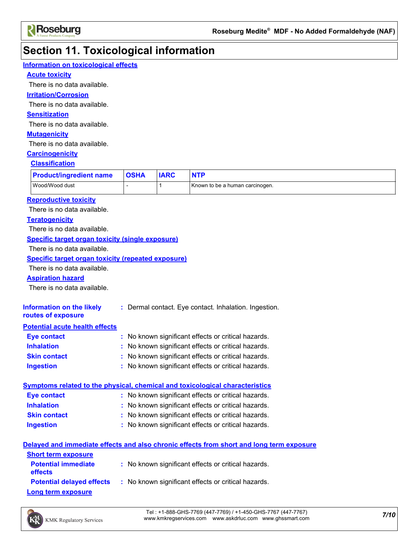

# **Section 11. Toxicological information**

| Information on toxicological effects                                         |                                                     |              |                                                                                          |
|------------------------------------------------------------------------------|-----------------------------------------------------|--------------|------------------------------------------------------------------------------------------|
| <b>Acute toxicity</b>                                                        |                                                     |              |                                                                                          |
| There is no data available.                                                  |                                                     |              |                                                                                          |
| <b>Irritation/Corrosion</b>                                                  |                                                     |              |                                                                                          |
| There is no data available.                                                  |                                                     |              |                                                                                          |
| <b>Sensitization</b>                                                         |                                                     |              |                                                                                          |
| There is no data available.                                                  |                                                     |              |                                                                                          |
| <b>Mutagenicity</b>                                                          |                                                     |              |                                                                                          |
| There is no data available.                                                  |                                                     |              |                                                                                          |
| <b>Carcinogenicity</b>                                                       |                                                     |              |                                                                                          |
| <b>Classification</b>                                                        |                                                     |              |                                                                                          |
| <b>Product/ingredient name</b>                                               | <b>OSHA</b>                                         | <b>IARC</b>  | <b>NTP</b>                                                                               |
| Wood/Wood dust                                                               |                                                     | $\mathbf{1}$ | Known to be a human carcinogen.                                                          |
|                                                                              |                                                     |              |                                                                                          |
| <b>Reproductive toxicity</b>                                                 |                                                     |              |                                                                                          |
| There is no data available.                                                  |                                                     |              |                                                                                          |
| <b>Teratogenicity</b><br>There is no data available.                         |                                                     |              |                                                                                          |
|                                                                              |                                                     |              |                                                                                          |
| <b>Specific target organ toxicity (single exposure)</b>                      |                                                     |              |                                                                                          |
| There is no data available.                                                  |                                                     |              |                                                                                          |
| <b>Specific target organ toxicity (repeated exposure)</b>                    |                                                     |              |                                                                                          |
| There is no data available.                                                  |                                                     |              |                                                                                          |
| <b>Aspiration hazard</b>                                                     |                                                     |              |                                                                                          |
| There is no data available.                                                  |                                                     |              |                                                                                          |
| <b>Information on the likely</b>                                             |                                                     |              | : Dermal contact. Eye contact. Inhalation. Ingestion.                                    |
| routes of exposure                                                           |                                                     |              |                                                                                          |
| <b>Potential acute health effects</b>                                        |                                                     |              |                                                                                          |
| <b>Eye contact</b>                                                           |                                                     |              | : No known significant effects or critical hazards.                                      |
| <b>Inhalation</b>                                                            |                                                     |              | No known significant effects or critical hazards.                                        |
| <b>Skin contact</b>                                                          | : No known significant effects or critical hazards. |              |                                                                                          |
| <b>Ingestion</b><br>: No known significant effects or critical hazards.      |                                                     |              |                                                                                          |
|                                                                              |                                                     |              |                                                                                          |
| Symptoms related to the physical, chemical and toxicological characteristics |                                                     |              |                                                                                          |
| <b>Eye contact</b>                                                           |                                                     |              | : No known significant effects or critical hazards.                                      |
| <b>Inhalation</b>                                                            |                                                     |              | : No known significant effects or critical hazards.                                      |
| <b>Skin contact</b>                                                          |                                                     |              | : No known significant effects or critical hazards.                                      |
| <b>Ingestion</b>                                                             |                                                     |              | : No known significant effects or critical hazards.                                      |
|                                                                              |                                                     |              | Delayed and immediate effects and also chronic effects from short and long term exposure |
| <b>Short term exposure</b>                                                   |                                                     |              |                                                                                          |
| <b>Potential immediate</b>                                                   |                                                     |              | : No known significant effects or critical hazards.                                      |
| effects                                                                      |                                                     |              |                                                                                          |
| <b>Potential delayed effects</b>                                             |                                                     |              | : No known significant effects or critical hazards.                                      |
| <b>Long term exposure</b>                                                    |                                                     |              |                                                                                          |



*7/10* Tel : +1-888-GHS-7769 (447-7769) / +1-450-GHS-7767 (447-7767) www.kmkregservices.com www.askdrluc.com www.ghssmart.com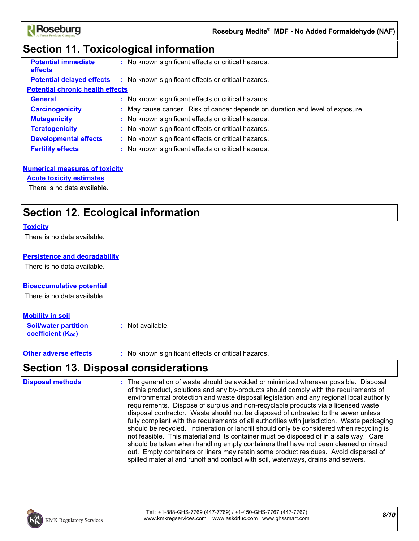

### **Section 11. Toxicological information**

| <b>Potential immediate</b><br><b>effects</b> | : No known significant effects or critical hazards.                           |  |
|----------------------------------------------|-------------------------------------------------------------------------------|--|
| <b>Potential delayed effects</b>             | : No known significant effects or critical hazards.                           |  |
| <b>Potential chronic health effects</b>      |                                                                               |  |
| <b>General</b>                               | : No known significant effects or critical hazards.                           |  |
| <b>Carcinogenicity</b>                       | : May cause cancer. Risk of cancer depends on duration and level of exposure. |  |
| <b>Mutagenicity</b>                          | : No known significant effects or critical hazards.                           |  |
| <b>Teratogenicity</b>                        | : No known significant effects or critical hazards.                           |  |
| <b>Developmental effects</b>                 | : No known significant effects or critical hazards.                           |  |
| <b>Fertility effects</b>                     | : No known significant effects or critical hazards.                           |  |
|                                              |                                                                               |  |

### **Numerical measures of toxicity**

#### **Acute toxicity estimates**

There is no data available.

### **Section 12. Ecological information**

#### **Toxicity**

There is no data available.

### **Persistence and degradability**

There is no data available.

#### **Bioaccumulative potential**

There is no data available.

#### **Mobility in soil**

**Soil/water partition coefficient (KOC) :** Not available.

**Other adverse effects** : No known significant effects or critical hazards.

### **Section 13. Disposal considerations**

The generation of waste should be avoided or minimized wherever possible. Disposal of this product, solutions and any by-products should comply with the requirements of environmental protection and waste disposal legislation and any regional local authority requirements. Dispose of surplus and non-recyclable products via a licensed waste disposal contractor. Waste should not be disposed of untreated to the sewer unless fully compliant with the requirements of all authorities with jurisdiction. Waste packaging should be recycled. Incineration or landfill should only be considered when recycling is not feasible. This material and its container must be disposed of in a safe way. Care should be taken when handling empty containers that have not been cleaned or rinsed out. Empty containers or liners may retain some product residues. Avoid dispersal of spilled material and runoff and contact with soil, waterways, drains and sewers. **Disposal methods :**

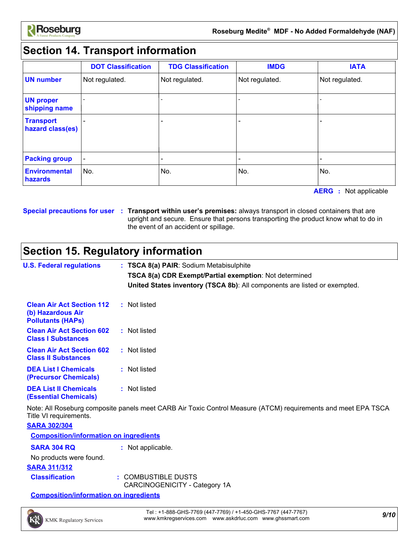

# **Section 14. Transport information**

|                                      | <b>DOT Classification</b> | <b>TDG Classification</b> | <b>IMDG</b>    | <b>IATA</b>    |
|--------------------------------------|---------------------------|---------------------------|----------------|----------------|
| <b>UN number</b>                     | Not regulated.            | Not regulated.            | Not regulated. | Not regulated. |
| <b>UN proper</b><br>shipping name    |                           |                           |                |                |
| <b>Transport</b><br>hazard class(es) |                           |                           |                |                |
| <b>Packing group</b>                 |                           |                           |                |                |
| <b>Environmental</b><br>hazards      | No.                       | No.                       | No.            | No.            |

**AERG :** Not applicable

**Special precautions for user Transport within user's premises:** always transport in closed containers that are **:** upright and secure. Ensure that persons transporting the product know what to do in the event of an accident or spillage.

## **Section 15. Regulatory information**

| <b>U.S. Federal regulations</b>                                                   | : TSCA 8(a) PAIR: Sodium Metabisulphite                                                                       |
|-----------------------------------------------------------------------------------|---------------------------------------------------------------------------------------------------------------|
|                                                                                   | <b>TSCA 8(a) CDR Exempt/Partial exemption: Not determined</b>                                                 |
|                                                                                   | United States inventory (TSCA 8b): All components are listed or exempted.                                     |
| <b>Clean Air Act Section 112</b><br>(b) Hazardous Air<br><b>Pollutants (HAPS)</b> | : Not listed                                                                                                  |
| <b>Clean Air Act Section 602</b><br><b>Class I Substances</b>                     | : Not listed                                                                                                  |
| <b>Clean Air Act Section 602</b><br><b>Class II Substances</b>                    | : Not listed                                                                                                  |
| <b>DEA List I Chemicals</b><br>(Precursor Chemicals)                              | : Not listed                                                                                                  |
| <b>DEA List II Chemicals</b><br><b>(Essential Chemicals)</b>                      | : Not listed                                                                                                  |
| Title VI requirements.<br><b>SARA 302/304</b>                                     | Note: All Roseburg composite panels meet CARB Air Toxic Control Measure (ATCM) requirements and meet EPA TSCA |
| <b>Composition/information on ingredients</b>                                     |                                                                                                               |
| <b>SARA 304 RQ</b>                                                                | : Not applicable.                                                                                             |
| No products were found.                                                           |                                                                                                               |
| <b>SARA 311/312</b>                                                               |                                                                                                               |
| <b>Classification</b>                                                             | : COMBUSTIBLE DUSTS<br>CARCINOGENICITY - Category 1A                                                          |

**Composition/information on ingredients**

*9/10* Tel : +1-888-GHS-7769 (447-7769) / +1-450-GHS-7767 (447-7767) www.kmkregservices.com www.askdrluc.com www.ghssmart.com